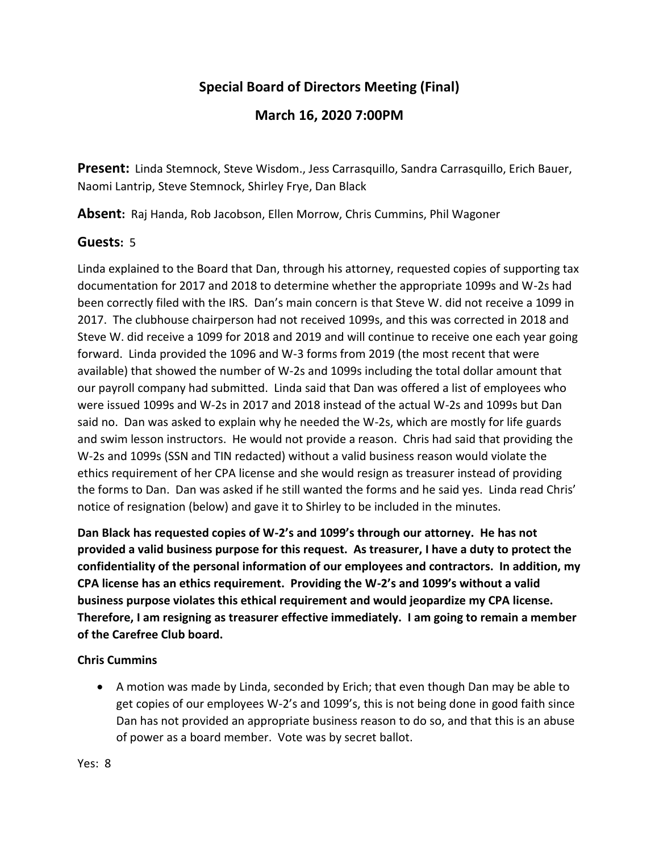## **Special Board of Directors Meeting (Final)**

## **March 16, 2020 7:00PM**

**Present:** Linda Stemnock, Steve Wisdom., Jess Carrasquillo, Sandra Carrasquillo, Erich Bauer, Naomi Lantrip, Steve Stemnock, Shirley Frye, Dan Black

**Absent:** Raj Handa, Rob Jacobson, Ellen Morrow, Chris Cummins, Phil Wagoner

## **Guests:** 5

Linda explained to the Board that Dan, through his attorney, requested copies of supporting tax documentation for 2017 and 2018 to determine whether the appropriate 1099s and W-2s had been correctly filed with the IRS. Dan's main concern is that Steve W. did not receive a 1099 in 2017. The clubhouse chairperson had not received 1099s, and this was corrected in 2018 and Steve W. did receive a 1099 for 2018 and 2019 and will continue to receive one each year going forward. Linda provided the 1096 and W-3 forms from 2019 (the most recent that were available) that showed the number of W-2s and 1099s including the total dollar amount that our payroll company had submitted. Linda said that Dan was offered a list of employees who were issued 1099s and W-2s in 2017 and 2018 instead of the actual W-2s and 1099s but Dan said no. Dan was asked to explain why he needed the W-2s, which are mostly for life guards and swim lesson instructors. He would not provide a reason. Chris had said that providing the W-2s and 1099s (SSN and TIN redacted) without a valid business reason would violate the ethics requirement of her CPA license and she would resign as treasurer instead of providing the forms to Dan. Dan was asked if he still wanted the forms and he said yes. Linda read Chris' notice of resignation (below) and gave it to Shirley to be included in the minutes.

**Dan Black has requested copies of W-2's and 1099's through our attorney. He has not provided a valid business purpose for this request. As treasurer, I have a duty to protect the confidentiality of the personal information of our employees and contractors. In addition, my CPA license has an ethics requirement. Providing the W-2's and 1099's without a valid business purpose violates this ethical requirement and would jeopardize my CPA license. Therefore, I am resigning as treasurer effective immediately. I am going to remain a member of the Carefree Club board.**

## **Chris Cummins**

 A motion was made by Linda, seconded by Erich; that even though Dan may be able to get copies of our employees W-2's and 1099's, this is not being done in good faith since Dan has not provided an appropriate business reason to do so, and that this is an abuse of power as a board member. Vote was by secret ballot.

Yes: 8